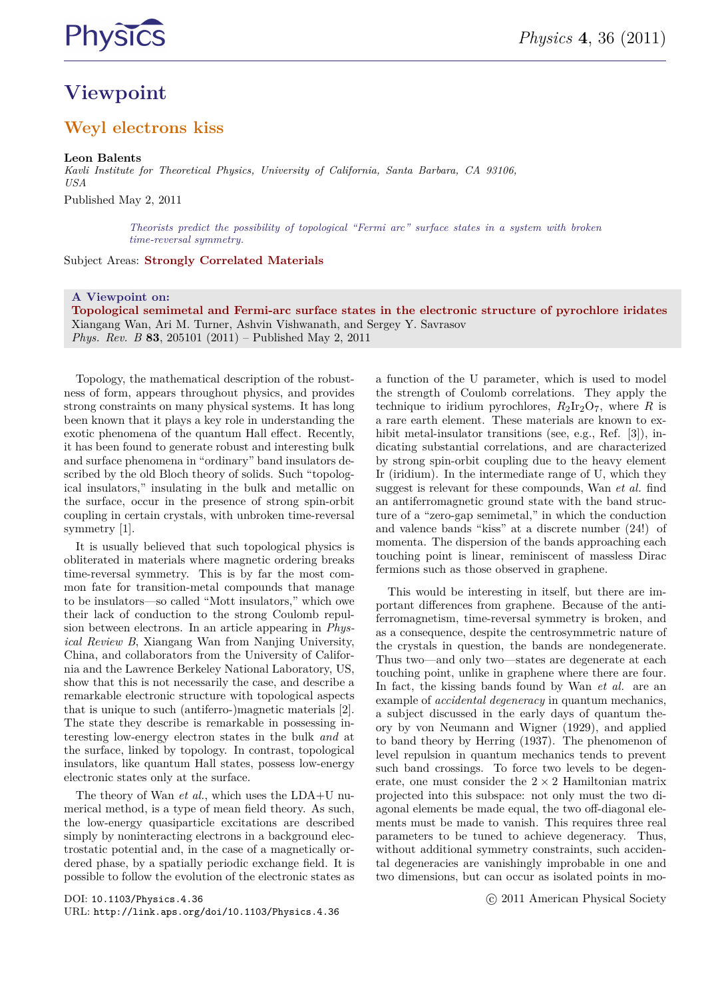

# **Viewpoint**

### **Weyl electrons kiss**

#### **Leon Balents**

*Kavli Institute for Theoretical Physics, University of California, Santa Barbara, CA 93106, USA* Published May 2, 2011

> *Theorists predict the possibility of topological "Fermi arc" surface states in a system with broken time-reversal symmetry.*

Subject Areas: **Strongly Correlated Materials**

#### **A Viewpoint on:**

**Topological semimetal and Fermi-arc surface states in the electronic structure of pyrochlore iridates** Xiangang Wan, Ari M. Turner, Ashvin Vishwanath, and Sergey Y. Savrasov *Phys. Rev. B* **83**, 205101 (2011) – Published May 2, 2011

Topology, the mathematical description of the robustness of form, appears throughout physics, and provides strong constraints on many physical systems. It has long been known that it plays a key role in understanding the exotic phenomena of the quantum Hall effect. Recently, it has been found to generate robust and interesting bulk and surface phenomena in "ordinary" band insulators described by the old Bloch theory of solids. Such "topological insulators," insulating in the bulk and metallic on the surface, occur in the presence of strong spin-orbit coupling in certain crystals, with unbroken time-reversal symmetry [1].

It is usually believed that such topological physics is obliterated in materials where magnetic ordering breaks time-reversal symmetry. This is by far the most common fate for transition-metal compounds that manage to be insulators—so called "Mott insulators," which owe their lack of conduction to the strong Coulomb repulsion between electrons. In an article appearing in *Physical Review B*, Xiangang Wan from Nanjing University, China, and collaborators from the University of California and the Lawrence Berkeley National Laboratory, US, show that this is not necessarily the case, and describe a remarkable electronic structure with topological aspects that is unique to such (antiferro-)magnetic materials [2]. The state they describe is remarkable in possessing interesting low-energy electron states in the bulk *and* at the surface, linked by topology. In contrast, topological insulators, like quantum Hall states, possess low-energy electronic states only at the surface.

The theory of Wan *et al.*, which uses the LDA+U numerical method, is a type of mean field theory. As such, the low-energy quasiparticle excitations are described simply by noninteracting electrons in a background electrostatic potential and, in the case of a magnetically ordered phase, by a spatially periodic exchange field. It is possible to follow the evolution of the electronic states as

DOI: 10.1103/Physics.4.36 URL: http://link.aps.org/doi/10.1103/Physics.4.36 a function of the U parameter, which is used to model the strength of Coulomb correlations. They apply the technique to iridium pyrochlores,  $R_2Ir_2O_7$ , where *R* is a rare earth element. These materials are known to exhibit metal-insulator transitions (see, e.g., Ref. [3]), indicating substantial correlations, and are characterized by strong spin-orbit coupling due to the heavy element Ir (iridium). In the intermediate range of U, which they suggest is relevant for these compounds, Wan *et al.* find an antiferromagnetic ground state with the band structure of a "zero-gap semimetal," in which the conduction and valence bands "kiss" at a discrete number (24!) of momenta. The dispersion of the bands approaching each touching point is linear, reminiscent of massless Dirac fermions such as those observed in graphene.

This would be interesting in itself, but there are important differences from graphene. Because of the antiferromagnetism, time-reversal symmetry is broken, and as a consequence, despite the centrosymmetric nature of the crystals in question, the bands are nondegenerate. Thus two—and only two—states are degenerate at each touching point, unlike in graphene where there are four. In fact, the kissing bands found by Wan *et al.* are an example of *accidental degeneracy* in quantum mechanics, a subject discussed in the early days of quantum theory by von Neumann and Wigner (1929), and applied to band theory by Herring (1937). The phenomenon of level repulsion in quantum mechanics tends to prevent such band crossings. To force two levels to be degenerate, one must consider the  $2 \times 2$  Hamiltonian matrix projected into this subspace: not only must the two diagonal elements be made equal, the two off-diagonal elements must be made to vanish. This requires three real parameters to be tuned to achieve degeneracy. Thus, without additional symmetry constraints, such accidental degeneracies are vanishingly improbable in one and two dimensions, but can occur as isolated points in mo-

c 2011 American Physical Society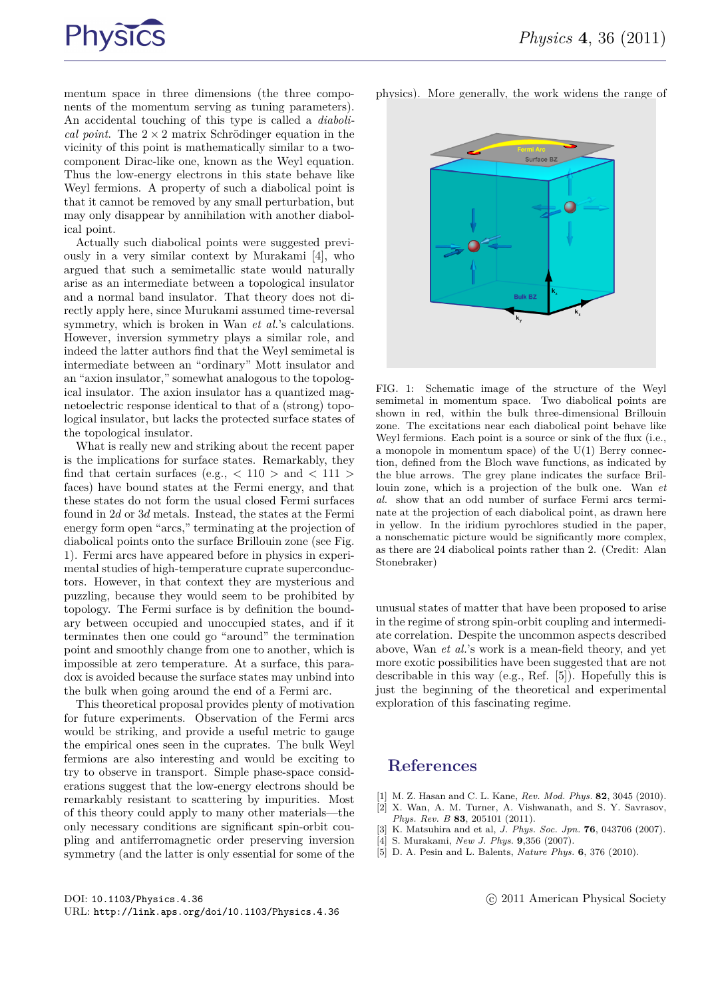

mentum space in three dimensions (the three components of the momentum serving as tuning parameters). An accidental touching of this type is called a *diabolical point.* The  $2 \times 2$  matrix Schrödinger equation in the vicinity of this point is mathematically similar to a twocomponent Dirac-like one, known as the Weyl equation. Thus the low-energy electrons in this state behave like Weyl fermions. A property of such a diabolical point is that it cannot be removed by any small perturbation, but may only disappear by annihilation with another diabolical point.

Actually such diabolical points were suggested previously in a very similar context by Murakami [4], who argued that such a semimetallic state would naturally arise as an intermediate between a topological insulator and a normal band insulator. That theory does not directly apply here, since Murukami assumed time-reversal symmetry, which is broken in Wan *et al.*'s calculations. However, inversion symmetry plays a similar role, and indeed the latter authors find that the Weyl semimetal is intermediate between an "ordinary" Mott insulator and an "axion insulator," somewhat analogous to the topological insulator. The axion insulator has a quantized magnetoelectric response identical to that of a (strong) topological insulator, but lacks the protected surface states of the topological insulator.

What is really new and striking about the recent paper is the implications for surface states. Remarkably, they find that certain surfaces (e.g.,  $\langle 110 \rangle$  and  $\langle 111 \rangle$ faces) have bound states at the Fermi energy, and that these states do not form the usual closed Fermi surfaces found in 2*d* or 3*d* metals. Instead, the states at the Fermi energy form open "arcs," terminating at the projection of diabolical points onto the surface Brillouin zone (see Fig. 1). Fermi arcs have appeared before in physics in experimental studies of high-temperature cuprate superconductors. However, in that context they are mysterious and puzzling, because they would seem to be prohibited by topology. The Fermi surface is by definition the boundary between occupied and unoccupied states, and if it terminates then one could go "around" the termination point and smoothly change from one to another, which is impossible at zero temperature. At a surface, this paradox is avoided because the surface states may unbind into the bulk when going around the end of a Fermi arc.

This theoretical proposal provides plenty of motivation for future experiments. Observation of the Fermi arcs would be striking, and provide a useful metric to gauge the empirical ones seen in the cuprates. The bulk Weyl fermions are also interesting and would be exciting to try to observe in transport. Simple phase-space considerations suggest that the low-energy electrons should be remarkably resistant to scattering by impurities. Most of this theory could apply to many other materials—the only necessary conditions are significant spin-orbit coupling and antiferromagnetic order preserving inversion symmetry (and the latter is only essential for some of the

DOI: 10.1103/Physics.4.36 URL: http://link.aps.org/doi/10.1103/Physics.4.36 [3] K. Matsuhira and et al, *J. Phys. Soc. Jpn.* **76**, 043706 (2007).

[4] S. Murakami, *New J. Phys*. **9**,356 (2007).

*Phys. Rev. B* **83**, 205101 (2011).

[5] D. A. Pesin and L. Balents, *Nature Phys.* **6**, 376 (2010).

[1] M. Z. Hasan and C. L. Kane, *Rev. Mod. Phys.* **82**, 3045 (2010). [2] X. Wan, A. M. Turner, A. Vishwanath, and S. Y. Savrasov,

c 2011 American Physical Society

physics). More generally, the work widens the range of



FIG. 1: Schematic image of the structure of the Weyl semimetal in momentum space. Two diabolical points are shown in red, within the bulk three-dimensional Brillouin zone. The excitations near each diabolical point behave like Weyl fermions. Each point is a source or sink of the flux (i.e., a monopole in momentum space) of the  $U(1)$  Berry connection, defined from the Bloch wave functions, as indicated by the blue arrows. The grey plane indicates the surface Brillouin zone, which is a projection of the bulk one. Wan *et al.* show that an odd number of surface Fermi arcs terminate at the projection of each diabolical point, as drawn here in yellow. In the iridium pyrochlores studied in the paper, a nonschematic picture would be significantly more complex, as there are 24 diabolical points rather than 2. (Credit: Alan Stonebraker)

unusual states of matter that have been proposed to arise in the regime of strong spin-orbit coupling and intermediate correlation. Despite the uncommon aspects described above, Wan *et al.*'s work is a mean-field theory, and yet more exotic possibilities have been suggested that are not describable in this way (e.g., Ref. [5]). Hopefully this is just the beginning of the theoretical and experimental exploration of this fascinating regime.

### **References**